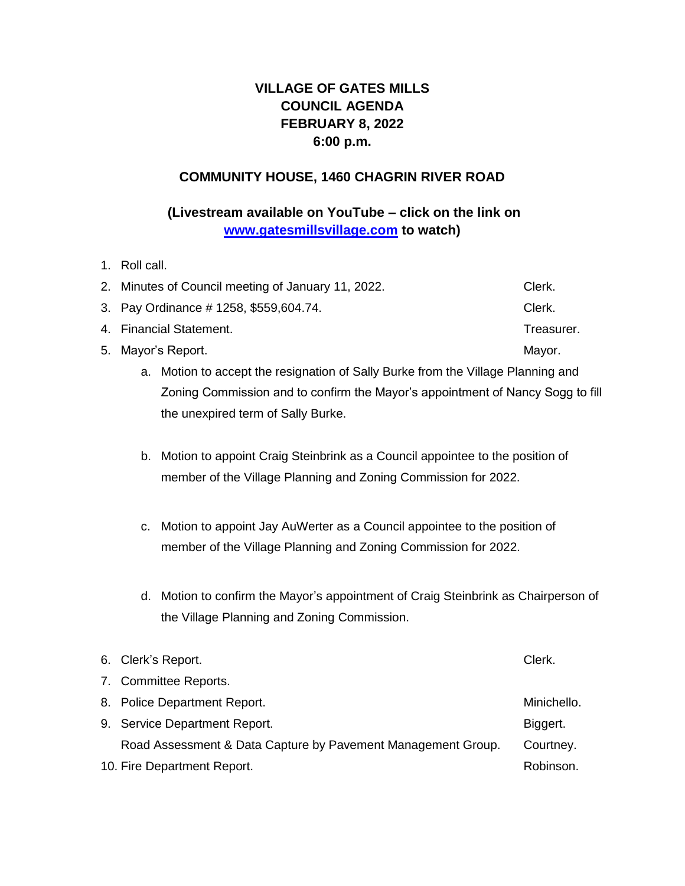# **VILLAGE OF GATES MILLS COUNCIL AGENDA FEBRUARY 8, 2022 6:00 p.m.**

## **COMMUNITY HOUSE, 1460 CHAGRIN RIVER ROAD**

# **(Livestream available on YouTube – click on the link on [www.gatesmillsvillage.com](http://www.gatesmillsvillage.com/) to watch)**

1. Roll call.

| 2. Minutes of Council meeting of January 11, 2022. | Clerk.     |
|----------------------------------------------------|------------|
| 3. Pay Ordinance #1258, \$559,604.74.              | Clerk.     |
| 4. Financial Statement.                            | Treasurer. |
| 5. Mayor's Report.                                 | Mayor.     |
|                                                    |            |

- a. Motion to accept the resignation of Sally Burke from the Village Planning and Zoning Commission and to confirm the Mayor's appointment of Nancy Sogg to fill the unexpired term of Sally Burke.
- b. Motion to appoint Craig Steinbrink as a Council appointee to the position of member of the Village Planning and Zoning Commission for 2022.
- c. Motion to appoint Jay AuWerter as a Council appointee to the position of member of the Village Planning and Zoning Commission for 2022.
- d. Motion to confirm the Mayor's appointment of Craig Steinbrink as Chairperson of the Village Planning and Zoning Commission.

|                             | 6. Clerk's Report.                                           | Clerk.      |
|-----------------------------|--------------------------------------------------------------|-------------|
|                             | 7. Committee Reports.                                        |             |
|                             | 8. Police Department Report.                                 | Minichello. |
|                             | 9. Service Department Report.                                | Biggert.    |
|                             | Road Assessment & Data Capture by Pavement Management Group. | Courtney.   |
| 10. Fire Department Report. |                                                              | Robinson.   |